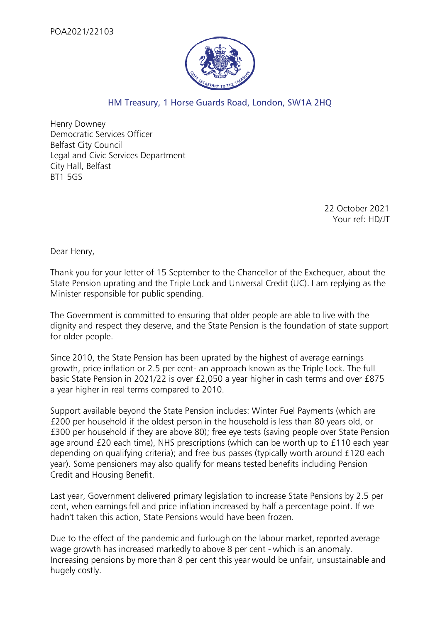

## HM Treasury, 1 Horse Guards Road, London, SW1A 2HQ

Henry Downey Democratic Services Officer Belfast City Council Legal and Civic Services Department City Hall, Belfast BT1 5GS

> 22 October 2021 Your ref: HD/JT

Dear Henry,

Thank you for your letter of 15 September to the Chancellor of the Exchequer, about the State Pension uprating and the Triple Lock and Universal Credit (UC). I am replying as the Minister responsible for public spending.

The Government is committed to ensuring that older people are able to live with the dignity and respect they deserve, and the State Pension is the foundation of state support for older people.

Since 2010, the State Pension has been uprated by the highest of average earnings growth, price inflation or 2.5 per cent- an approach known as the Triple Lock. The full basic State Pension in 2021/22 is over £2,050 a year higher in cash terms and over £875 a year higher in real terms compared to 2010.

Support available beyond the State Pension includes: Winter Fuel Payments (which are £200 per household if the oldest person in the household is less than 80 years old, or £300 per household if they are above 80); free eye tests (saving people over State Pension age around £20 each time), NHS prescriptions (which can be worth up to £110 each year depending on qualifying criteria); and free bus passes (typically worth around £120 each year). Some pensioners may also qualify for means tested benefits including Pension Credit and Housing Benefit.

Last year, Government delivered primary legislation to increase State Pensions by 2.5 per cent, when earnings fell and price inflation increased by half a percentage point. If we hadn't taken this action, State Pensions would have been frozen.

Due to the effect of the pandemic and furlough on the labour market, reported average wage growth has increased markedly to above 8 per cent - which is an anomaly. Increasing pensions by more than 8 per cent this year would be unfair, unsustainable and hugely costly.